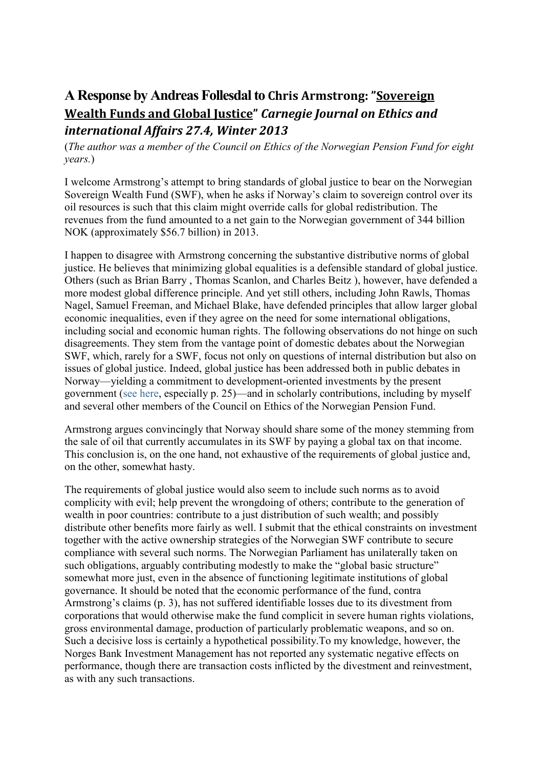## **A Response by [Andreas Follesdal](http://www.ethicsandinternationalaffairs.org/?p=6924)to Chris Armstrong: "[Sovereign](http://www.ethicsandinternationalaffairs.org/2014/sovereign-wealth-funds-and-global-justice/)  Wealth [Funds and Global Justice](http://www.ethicsandinternationalaffairs.org/2014/sovereign-wealth-funds-and-global-justice/)"** *Carnegie Journal on Ethics and international Affairs 27.4, Winter 2013*

(*The author was a member of the Council on Ethics of the Norwegian Pension Fund for eight years.*)

I welcome Armstrong's attempt to bring standards of global justice to bear on the Norwegian Sovereign Wealth Fund (SWF), when he asks if Norway's claim to sovereign control over its oil resources is such that this claim might override calls for global redistribution. The revenues from the fund amounted to a net gain to the Norwegian government of 344 billion NOK (approximately \$56.7 billion) in 2013.

I happen to disagree with Armstrong concerning the substantive distributive norms of global justice. He believes that minimizing global equalities is a defensible standard of global justice. Others (such as Brian Barry , Thomas Scanlon, and Charles Beitz ), however, have defended a more modest global difference principle. And yet still others, including John Rawls, Thomas Nagel, Samuel Freeman, and Michael Blake, have defended principles that allow larger global economic inequalities, even if they agree on the need for some international obligations, including social and economic human rights. The following observations do not hinge on such disagreements. They stem from the vantage point of domestic debates about the Norwegian SWF, which, rarely for a SWF, focus not only on questions of internal distribution but also on issues of global justice. Indeed, global justice has been addressed both in public debates in Norway—yielding a commitment to development-oriented investments by the present government [\(see here,](http://www.hoyre.no/filestore/Filer/Politikkdokumenter/plattform.pdf) especially p. 25)—and in scholarly contributions, including by myself and several other members of the Council on Ethics of the Norwegian Pension Fund.

Armstrong argues convincingly that Norway should share some of the money stemming from the sale of oil that currently accumulates in its SWF by paying a global tax on that income. This conclusion is, on the one hand, not exhaustive of the requirements of global justice and, on the other, somewhat hasty.

The requirements of global justice would also seem to include such norms as to avoid complicity with evil; help prevent the wrongdoing of others; contribute to the generation of wealth in poor countries: contribute to a just distribution of such wealth; and possibly distribute other benefits more fairly as well. I submit that the ethical constraints on investment together with the active ownership strategies of the Norwegian SWF contribute to secure compliance with several such norms. The Norwegian Parliament has unilaterally taken on such obligations, arguably contributing modestly to make the "global basic structure" somewhat more just, even in the absence of functioning legitimate institutions of global governance. It should be noted that the economic performance of the fund, contra Armstrong's claims (p. 3), has not suffered identifiable losses due to its divestment from corporations that would otherwise make the fund complicit in severe human rights violations, gross environmental damage, production of particularly problematic weapons, and so on. Such a decisive loss is certainly a hypothetical possibility.To my knowledge, however, the Norges Bank Investment Management has not reported any systematic negative effects on performance, though there are transaction costs inflicted by the divestment and reinvestment, as with any such transactions.